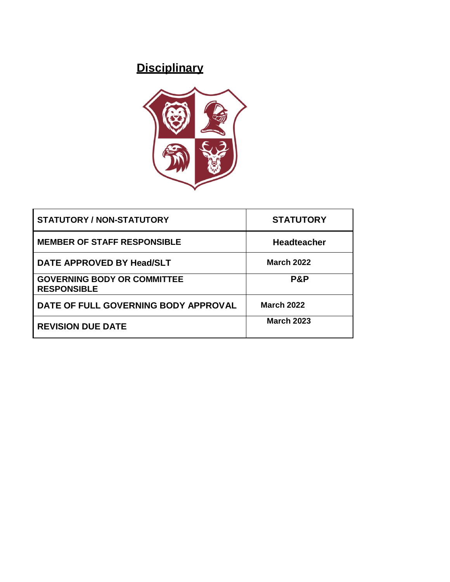# **Disciplinary**



| <b>STATUTORY / NON-STATUTORY</b>                         | <b>STATUTORY</b>   |
|----------------------------------------------------------|--------------------|
| <b>MEMBER OF STAFF RESPONSIBLE</b>                       | <b>Headteacher</b> |
| DATE APPROVED BY Head/SLT                                | <b>March 2022</b>  |
| <b>GOVERNING BODY OR COMMITTEE</b><br><b>RESPONSIBLE</b> | <b>P&amp;P</b>     |
| DATE OF FULL GOVERNING BODY APPROVAL                     | <b>March 2022</b>  |
| <b>REVISION DUE DATE</b>                                 | <b>March 2023</b>  |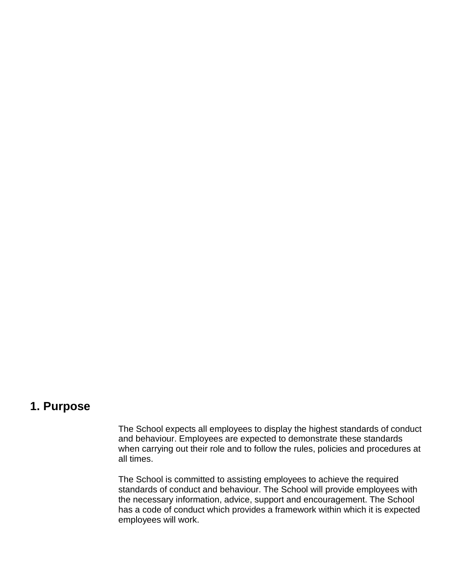### **1. Purpose**

The School expects all employees to display the highest standards of conduct and behaviour. Employees are expected to demonstrate these standards when carrying out their role and to follow the rules, policies and procedures at all times.

The School is committed to assisting employees to achieve the required standards of conduct and behaviour. The School will provide employees with the necessary information, advice, support and encouragement. The School has a code of conduct which provides a framework within which it is expected employees will work.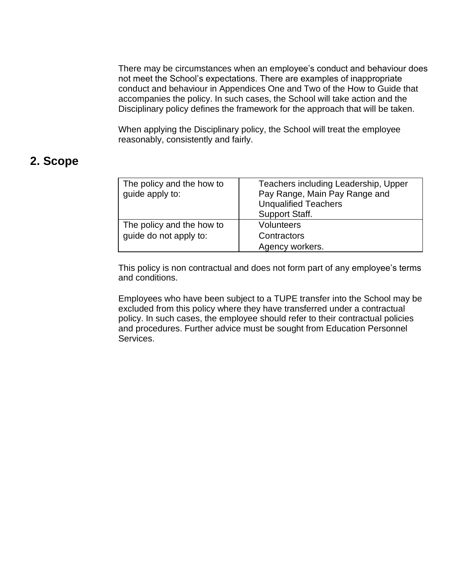There may be circumstances when an employee's conduct and behaviour does not meet the School's expectations. There are examples of inappropriate conduct and behaviour in Appendices One and Two of the How to Guide that accompanies the policy. In such cases, the School will take action and the Disciplinary policy defines the framework for the approach that will be taken.

When applying the Disciplinary policy, the School will treat the employee reasonably, consistently and fairly.

## **2. Scope**

| The policy and the how to<br>guide apply to:        | Teachers including Leadership, Upper<br>Pay Range, Main Pay Range and<br><b>Unqualified Teachers</b><br><b>Support Staff.</b> |
|-----------------------------------------------------|-------------------------------------------------------------------------------------------------------------------------------|
| The policy and the how to<br>quide do not apply to: | <b>Volunteers</b><br>Contractors<br>Agency workers.                                                                           |

This policy is non contractual and does not form part of any employee's terms and conditions.

Employees who have been subject to a TUPE transfer into the School may be excluded from this policy where they have transferred under a contractual policy. In such cases, the employee should refer to their contractual policies and procedures. Further advice must be sought from Education Personnel Services.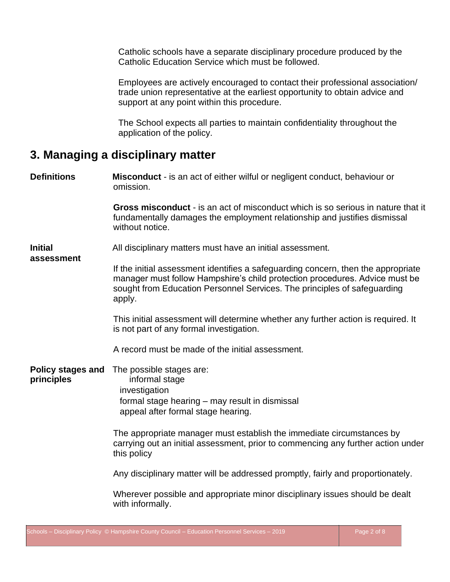Catholic schools have a separate disciplinary procedure produced by the Catholic Education Service which must be followed.

Employees are actively encouraged to contact their professional association/ trade union representative at the earliest opportunity to obtain advice and support at any point within this procedure.

The School expects all parties to maintain confidentiality throughout the application of the policy.

## **3. Managing a disciplinary matter**

**Definitions Misconduct** - is an act of either wilful or negligent conduct, behaviour or omission. **Gross misconduct** - is an act of misconduct which is so serious in nature that it fundamentally damages the employment relationship and justifies dismissal without notice. **Initial** All disciplinary matters must have an initial assessment. **assessment** If the initial assessment identifies a safeguarding concern, then the appropriate manager must follow Hampshire's child protection procedures. Advice must be sought from Education Personnel Services. The principles of safeguarding apply. This initial assessment will determine whether any further action is required. It is not part of any formal investigation. A record must be made of the initial assessment. **Policy stages and** The possible stages are: **principles** informal stage investigation formal stage hearing – may result in dismissal appeal after formal stage hearing. The appropriate manager must establish the immediate circumstances by carrying out an initial assessment, prior to commencing any further action under this policy

Any disciplinary matter will be addressed promptly, fairly and proportionately.

Wherever possible and appropriate minor disciplinary issues should be dealt with informally.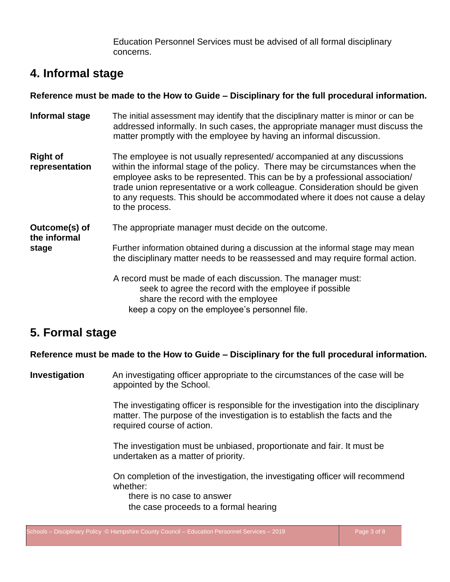Education Personnel Services must be advised of all formal disciplinary concerns.

## **4. Informal stage**

#### **Reference must be made to the How to Guide – Disciplinary for the full procedural information.**

**Informal stage** The initial assessment may identify that the disciplinary matter is minor or can be addressed informally. In such cases, the appropriate manager must discuss the matter promptly with the employee by having an informal discussion. **Right of** The employee is not usually represented/ accompanied at any discussions **representation** within the informal stage of the policy. There may be circumstances when the employee asks to be represented. This can be by a professional association/ trade union representative or a work colleague. Consideration should be given to any requests. This should be accommodated where it does not cause a delay to the process. **Outcome(s) of** The appropriate manager must decide on the outcome. **the informal stage** Further information obtained during a discussion at the informal stage may mean the disciplinary matter needs to be reassessed and may require formal action. A record must be made of each discussion. The manager must: seek to agree the record with the employee if possible share the record with the employee keep a copy on the employee's personnel file.

# **5. Formal stage**

#### **Reference must be made to the How to Guide – Disciplinary for the full procedural information.**

**Investigation** An investigating officer appropriate to the circumstances of the case will be appointed by the School.

> The investigating officer is responsible for the investigation into the disciplinary matter. The purpose of the investigation is to establish the facts and the required course of action.

The investigation must be unbiased, proportionate and fair. It must be undertaken as a matter of priority.

On completion of the investigation, the investigating officer will recommend whether:

there is no case to answer the case proceeds to a formal hearing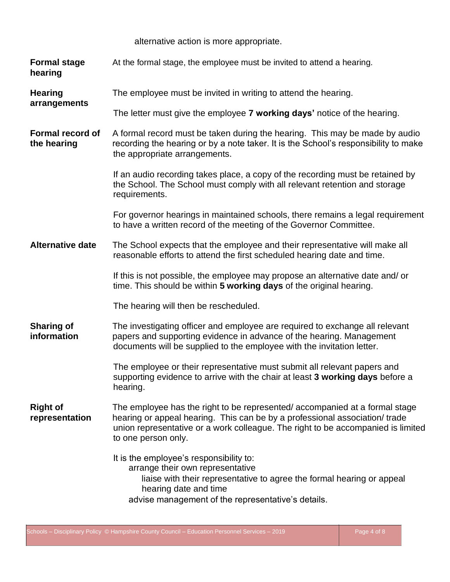alternative action is more appropriate.

<span id="page-5-0"></span>

| <b>Formal stage</b><br>hearing         | At the formal stage, the employee must be invited to attend a hearing.                                                                                                                                                                                              |
|----------------------------------------|---------------------------------------------------------------------------------------------------------------------------------------------------------------------------------------------------------------------------------------------------------------------|
| <b>Hearing</b><br>arrangements         | The employee must be invited in writing to attend the hearing.                                                                                                                                                                                                      |
|                                        | The letter must give the employee <b>7 working days'</b> notice of the hearing.                                                                                                                                                                                     |
| <b>Formal record of</b><br>the hearing | A formal record must be taken during the hearing. This may be made by audio<br>recording the hearing or by a note taker. It is the School's responsibility to make<br>the appropriate arrangements.                                                                 |
|                                        | If an audio recording takes place, a copy of the recording must be retained by<br>the School. The School must comply with all relevant retention and storage<br>requirements.                                                                                       |
|                                        | For governor hearings in maintained schools, there remains a legal requirement<br>to have a written record of the meeting of the Governor Committee.                                                                                                                |
| <b>Alternative date</b>                | The School expects that the employee and their representative will make all<br>reasonable efforts to attend the first scheduled hearing date and time.                                                                                                              |
|                                        | If this is not possible, the employee may propose an alternative date and/or<br>time. This should be within 5 working days of the original hearing.                                                                                                                 |
|                                        | The hearing will then be rescheduled.                                                                                                                                                                                                                               |
| <b>Sharing of</b><br>information       | The investigating officer and employee are required to exchange all relevant<br>papers and supporting evidence in advance of the hearing. Management<br>documents will be supplied to the employee with the invitation letter.                                      |
|                                        | The employee or their representative must submit all relevant papers and<br>supporting evidence to arrive with the chair at least 3 working days before a<br>hearing.                                                                                               |
| <b>Right of</b><br>representation      | The employee has the right to be represented/accompanied at a formal stage<br>hearing or appeal hearing. This can be by a professional association/trade<br>union representative or a work colleague. The right to be accompanied is limited<br>to one person only. |
|                                        | It is the employee's responsibility to:<br>arrange their own representative<br>liaise with their representative to agree the formal hearing or appeal<br>hearing date and time<br>advise management of the representative's details.                                |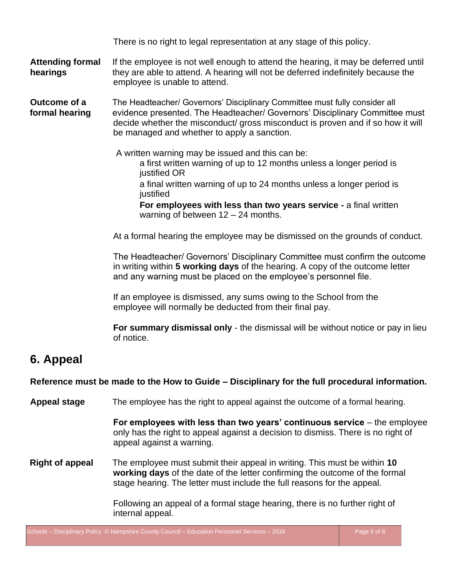There is no right to legal representation at any stage of this policy.

#### **Attending formal** If the employee is not well enough to attend the hearing, it may be deferred until **hearings** they are able to attend. A hearing will not be deferred indefinitely because the employee is unable to attend.

**Outcome of a** The Headteacher/ Governors' Disciplinary Committee must fully consider all **formal hearing** evidence presented. The Headteacher/ Governors' Disciplinary Committee must decide whether the misconduct/ gross misconduct is proven and if so how it will be managed and whether to apply a sanction.

A written warning may be issued and this can be:

a first written warning of up to 12 months unless a longer period is justified OR

a final written warning of up to 24 months unless a longer period is iustified

**For employees with less than two years service -** a final written warning of between 12 – 24 months.

At a formal hearing the employee may be dismissed on the grounds of conduct.

The Headteacher/ Governors' Disciplinary Committee must confirm the outcome in writing within **5 working days** of the hearing. A copy of the outcome letter and any warning must be placed on the employee's personnel file.

If an employee is dismissed, any sums owing to the School from the employee will normally be deducted from their final pay.

**For summary dismissal only** - the dismissal will be without notice or pay in lieu of notice.

# **6. Appeal**

**Reference must be made to the How to Guide – Disciplinary for the full procedural information.**

**Appeal stage** The employee has the right to appeal against the outcome of a formal hearing.

**For employees with less than two years' continuous service** – the employee only has the right to appeal against a decision to dismiss. There is no right of appeal against a warning.

**Right of appeal** The employee must submit their appeal in writing. This must be within **10 working days** of the date of the letter confirming the outcome of the formal stage hearing. The letter must include the full reasons for the appeal.

> Following an appeal of a formal stage hearing, there is no further right of internal appeal.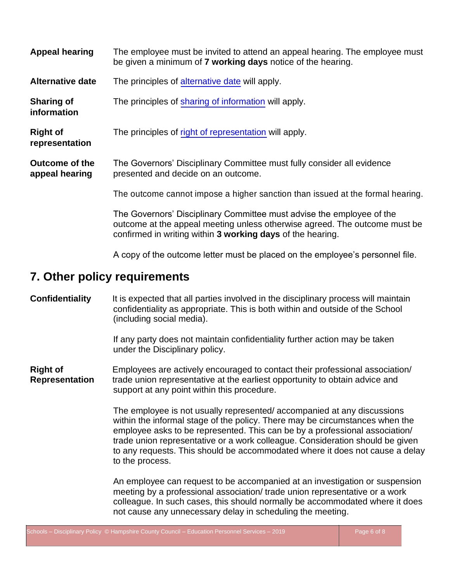| <b>Appeal hearing</b>                   | The employee must be invited to attend an appeal hearing. The employee must<br>be given a minimum of 7 working days notice of the hearing.                                                                        |  |
|-----------------------------------------|-------------------------------------------------------------------------------------------------------------------------------------------------------------------------------------------------------------------|--|
| <b>Alternative date</b>                 | The principles of alternative date will apply.                                                                                                                                                                    |  |
| <b>Sharing of</b><br>information        | The principles of sharing of information will apply.                                                                                                                                                              |  |
| <b>Right of</b><br>representation       | The principles of right of representation will apply.                                                                                                                                                             |  |
| <b>Outcome of the</b><br>appeal hearing | The Governors' Disciplinary Committee must fully consider all evidence<br>presented and decide on an outcome.                                                                                                     |  |
|                                         | The outcome cannot impose a higher sanction than issued at the formal hearing.                                                                                                                                    |  |
|                                         | The Governors' Disciplinary Committee must advise the employee of the<br>outcome at the appeal meeting unless otherwise agreed. The outcome must be<br>confirmed in writing within 3 working days of the hearing. |  |
|                                         | A copy of the outcome letter must be placed on the employee's personnel file.                                                                                                                                     |  |

### **7. Other policy requirements**

**Confidentiality** It is expected that all parties involved in the disciplinary process will maintain confidentiality as appropriate. This is both within and outside of the School (including social media).

> If any party does not maintain confidentiality further action may be taken under the Disciplinary policy.

**Right of** Employees are actively encouraged to contact their professional association/ **Representation** trade union representative at the earliest opportunity to obtain advice and support at any point within this procedure.

> The employee is not usually represented/ accompanied at any discussions within the informal stage of the policy. There may be circumstances when the employee asks to be represented. This can be by a professional association/ trade union representative or a work colleague. Consideration should be given to any requests. This should be accommodated where it does not cause a delay to the process.

> An employee can request to be accompanied at an investigation or suspension meeting by a professional association/ trade union representative or a work colleague. In such cases, this should normally be accommodated where it does not cause any unnecessary delay in scheduling the meeting.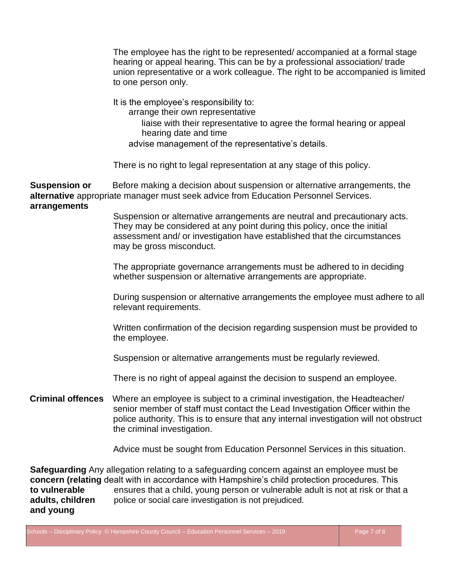The employee has the right to be represented/ accompanied at a formal stage hearing or appeal hearing. This can be by a professional association/ trade union representative or a work colleague. The right to be accompanied is limited to one person only.

It is the employee's responsibility to: arrange their own representative

liaise with their representative to agree the formal hearing or appeal hearing date and time

advise management of the representative's details.

There is no right to legal representation at any stage of this policy.

**Suspension or** Before making a decision about suspension or alternative arrangements, the **alternative** appropriate manager must seek advice from Education Personnel Services. **arrangements**

> Suspension or alternative arrangements are neutral and precautionary acts. They may be considered at any point during this policy, once the initial assessment and/ or investigation have established that the circumstances may be gross misconduct.

> The appropriate governance arrangements must be adhered to in deciding whether suspension or alternative arrangements are appropriate.

During suspension or alternative arrangements the employee must adhere to all relevant requirements.

Written confirmation of the decision regarding suspension must be provided to the employee.

Suspension or alternative arrangements must be regularly reviewed.

There is no right of appeal against the decision to suspend an employee.

**Criminal offences** Where an employee is subject to a criminal investigation, the Headteacher/ senior member of staff must contact the Lead Investigation Officer within the police authority. This is to ensure that any internal investigation will not obstruct the criminal investigation.

Advice must be sought from Education Personnel Services in this situation.

**Safeguarding** Any allegation relating to a safeguarding concern against an employee must be **concern (relating** dealt with in accordance with Hampshire's child protection procedures. This **to vulnerable** ensures that a child, young person or vulnerable adult is not at risk or that a **adults, children** police or social care investigation is not prejudiced. **and young**